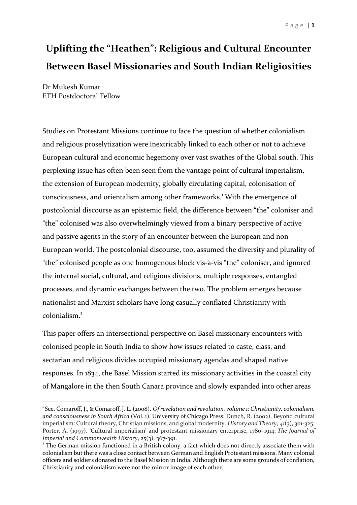## **Uplifting the "Heathen": Religious and Cultural Encounter Between Basel Missionaries and South Indian Religiosities**

Dr Mukesh Kumar ETH Postdoctoral Fellow

Studies on Protestant Missions continue to face the question of whether colonialism and religious proselytization were inextricably linked to each other or not to achieve European cultural and economic hegemony over vast swathes of the Global south. This perplexing issue has often been seen from the vantage point of cultural imperialism, the extension of European modernity, globally circulating capital, colonisation of consciousness, and orientalism among other frameworks. 1 With the emergence of postcolonial discourse as an epistemic field, the difference between "the" coloniser and "the" colonised was also overwhelmingly viewed from a binary perspective of active and passive agents in the story of an encounter between the European and non-European world. The postcolonial discourse, too, assumed the diversity and plurality of "the" colonised people as one homogenous block vis-à-vis "the" coloniser, and ignored the internal social, cultural, and religious divisions, multiple responses, entangled processes, and dynamic exchanges between the two. The problem emerges because nationalist and Marxist scholars have long casually conflated Christianity with colonialism.<sup>2</sup>

This paper offers an intersectional perspective on Basel missionary encounters with colonised people in South India to show how issues related to caste, class, and sectarian and religious divides occupied missionary agendas and shaped native responses. In 1834, the Basel Mission started its missionary activities in the coastal city of Mangalore in the then South Canara province and slowly expanded into other areas

<sup>1</sup> See, Comaroff, J., & Comaroff, J. L. (2008). *Of revelation and revolution, volume 1: Christianity, colonialism, and consciousness in South Africa* (Vol. 1). University of Chicago Press; Dunch, R. (2002). Beyond cultural imperialism: Cultural theory, Christian missions, and global modernity. *History and Theory*, *41*(3), 301-325; Porter, A. (1997). 'Cultural imperialism' and protestant missionary enterprise, 1780–1914. *The Journal of Imperial and Commonwealth History*, *25*(3), 367-391.<br><sup>2</sup> The German mission functioned in a British colony, a fact which does not directly associate them with

colonialism but there was a close contact between German and English Protestant missions. Many colonial officers and soldiers donated to the Basel Mission in India. Although there are some grounds of conflation, Christianity and colonialism were not the mirror image of each other.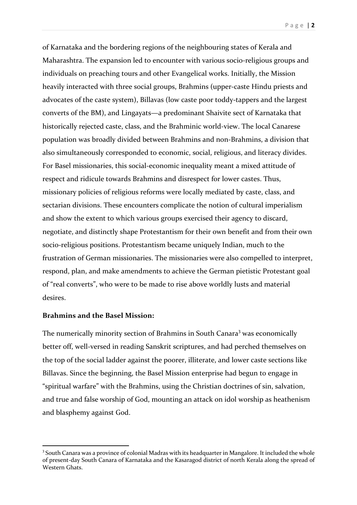of Karnataka and the bordering regions of the neighbouring states of Kerala and Maharashtra. The expansion led to encounter with various socio-religious groups and individuals on preaching tours and other Evangelical works. Initially, the Mission heavily interacted with three social groups, Brahmins (upper-caste Hindu priests and advocates of the caste system), Billavas (low caste poor toddy-tappers and the largest converts of the BM), and Lingayats—a predominant Shaivite sect of Karnataka that historically rejected caste, class, and the Brahminic world-view. The local Canarese population was broadly divided between Brahmins and non-Brahmins, a division that also simultaneously corresponded to economic, social, religious, and literacy divides. For Basel missionaries, this social-economic inequality meant a mixed attitude of respect and ridicule towards Brahmins and disrespect for lower castes. Thus, missionary policies of religious reforms were locally mediated by caste, class, and sectarian divisions. These encounters complicate the notion of cultural imperialism and show the extent to which various groups exercised their agency to discard, negotiate, and distinctly shape Protestantism for their own benefit and from their own socio-religious positions. Protestantism became uniquely Indian, much to the frustration of German missionaries. The missionaries were also compelled to interpret, respond, plan, and make amendments to achieve the German pietistic Protestant goal of "real converts", who were to be made to rise above worldly lusts and material desires.

## **Brahmins and the Basel Mission:**

The numerically minority section of Brahmins in South Canara<sup>3</sup> was economically better off, well-versed in reading Sanskrit scriptures, and had perched themselves on the top of the social ladder against the poorer, illiterate, and lower caste sections like Billavas. Since the beginning, the Basel Mission enterprise had begun to engage in "spiritual warfare" with the Brahmins, using the Christian doctrines of sin, salvation, and true and false worship of God, mounting an attack on idol worship as heathenism and blasphemy against God.

<sup>&</sup>lt;sup>3</sup> South Canara was a province of colonial Madras with its headquarter in Mangalore. It included the whole of present-day South Canara of Karnataka and the Kasaragod district of north Kerala along the spread of Western Ghats.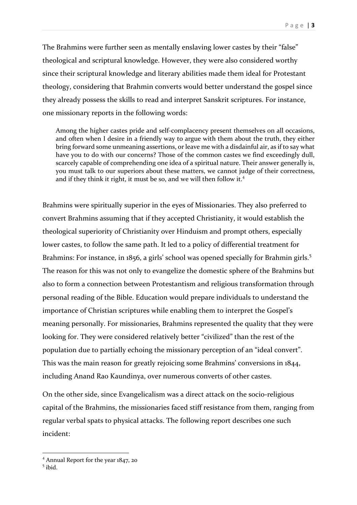The Brahmins were further seen as mentally enslaving lower castes by their "false" theological and scriptural knowledge. However, they were also considered worthy since their scriptural knowledge and literary abilities made them ideal for Protestant theology, considering that Brahmin converts would better understand the gospel since they already possess the skills to read and interpret Sanskrit scriptures. For instance, one missionary reports in the following words:

Among the higher castes pride and self-complacency present themselves on all occasions, and often when I desire in a friendly way to argue with them about the truth, they either bring forward some unmeaning assertions, or leave me with a disdainful air, as if to say what have you to do with our concerns? Those of the common castes we find exceedingly dull, scarcely capable of comprehending one idea of a spiritual nature. Their answer generally is, you must talk to our superiors about these matters, we cannot judge of their correctness, and if they think it right, it must be so, and we will then follow it.<sup>4</sup>

Brahmins were spiritually superior in the eyes of Missionaries. They also preferred to convert Brahmins assuming that if they accepted Christianity, it would establish the theological superiority of Christianity over Hinduism and prompt others, especially lower castes, to follow the same path. It led to a policy of differential treatment for Brahmins: For instance, in 1856, a girls' school was opened specially for Brahmin girls.<sup>5</sup> The reason for this was not only to evangelize the domestic sphere of the Brahmins but also to form a connection between Protestantism and religious transformation through personal reading of the Bible. Education would prepare individuals to understand the importance of Christian scriptures while enabling them to interpret the Gospel's meaning personally. For missionaries, Brahmins represented the quality that they were looking for. They were considered relatively better "civilized" than the rest of the population due to partially echoing the missionary perception of an "ideal convert". This was the main reason for greatly rejoicing some Brahmins' conversions in 1844, including Anand Rao Kaundinya, over numerous converts of other castes.

On the other side, since Evangelicalism was a direct attack on the socio-religious capital of the Brahmins, the missionaries faced stiff resistance from them, ranging from regular verbal spats to physical attacks. The following report describes one such incident:

<sup>&</sup>lt;sup>4</sup> Annual Report for the year  $1847$ , 20<sup>5</sup> ibid.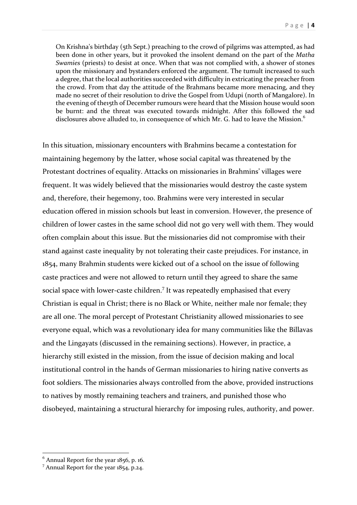On Krishna's birthday (5th Sept.) preaching to the crowd of pilgrims was attempted, as had been done in other years, but it provoked the insolent demand on the part of the *Matha Swamies* (priests) to desist at once. When that was not complied with, a shower of stones upon the missionary and bystanders enforced the argument. The tumult increased to such a degree, that the local authorities succeeded with difficulty in extricating the preacher from the crowd. From that day the attitude of the Brahmans became more menacing, and they made no secret of their resolution to drive the Gospel from Udupi (north of Mangalore). In the evening of the15th of December rumours were heard that the Mission house would soon be burnt: and the threat was executed towards midnight. After this followed the sad disclosures above alluded to, in consequence of which Mr. G. had to leave the Mission.<sup>6</sup>

In this situation, missionary encounters with Brahmins became a contestation for maintaining hegemony by the latter, whose social capital was threatened by the Protestant doctrines of equality. Attacks on missionaries in Brahmins' villages were frequent. It was widely believed that the missionaries would destroy the caste system and, therefore, their hegemony, too. Brahmins were very interested in secular education offered in mission schools but least in conversion. However, the presence of children of lower castes in the same school did not go very well with them. They would often complain about this issue. But the missionaries did not compromise with their stand against caste inequality by not tolerating their caste prejudices. For instance, in 1854, many Brahmin students were kicked out of a school on the issue of following caste practices and were not allowed to return until they agreed to share the same social space with lower-caste children.<sup>7</sup> It was repeatedly emphasised that every Christian is equal in Christ; there is no Black or White, neither male nor female; they are all one. The moral percept of Protestant Christianity allowed missionaries to see everyone equal, which was a revolutionary idea for many communities like the Billavas and the Lingayats (discussed in the remaining sections). However, in practice, a hierarchy still existed in the mission, from the issue of decision making and local institutional control in the hands of German missionaries to hiring native converts as foot soldiers. The missionaries always controlled from the above, provided instructions to natives by mostly remaining teachers and trainers, and punished those who disobeyed, maintaining a structural hierarchy for imposing rules, authority, and power.

<sup>&</sup>lt;sup>6</sup> Annual Report for the year 1856, p. 16.<br><sup>7</sup> Annual Report for the year 1854, p.24.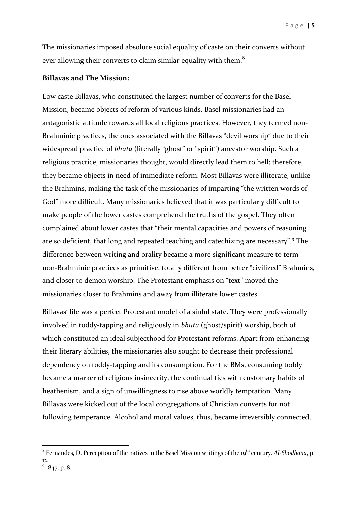The missionaries imposed absolute social equality of caste on their converts without ever allowing their converts to claim similar equality with them. $^8$ 

## **Billavas and The Mission:**

Low caste Billavas, who constituted the largest number of converts for the Basel Mission, became objects of reform of various kinds. Basel missionaries had an antagonistic attitude towards all local religious practices. However, they termed non-Brahminic practices, the ones associated with the Billavas "devil worship" due to their widespread practice of *bhuta* (literally "ghost" or "spirit") ancestor worship. Such a religious practice, missionaries thought, would directly lead them to hell; therefore, they became objects in need of immediate reform. Most Billavas were illiterate, unlike the Brahmins, making the task of the missionaries of imparting "the written words of God" more difficult. Many missionaries believed that it was particularly difficult to make people of the lower castes comprehend the truths of the gospel. They often complained about lower castes that "their mental capacities and powers of reasoning are so deficient, that long and repeated teaching and catechizing are necessary".<sup>9</sup> The difference between writing and orality became a more significant measure to term non-Brahminic practices as primitive, totally different from better "civilized" Brahmins, and closer to demon worship. The Protestant emphasis on "text" moved the missionaries closer to Brahmins and away from illiterate lower castes.

Billavas' life was a perfect Protestant model of a sinful state. They were professionally involved in toddy-tapping and religiously in *bhuta* (ghost/spirit) worship, both of which constituted an ideal subjecthood for Protestant reforms. Apart from enhancing their literary abilities, the missionaries also sought to decrease their professional dependency on toddy-tapping and its consumption. For the BMs, consuming toddy became a marker of religious insincerity, the continual ties with customary habits of heathenism, and a sign of unwillingness to rise above worldly temptation. Many Billavas were kicked out of the local congregations of Christian converts for not following temperance. Alcohol and moral values, thus, became irreversibly connected.

<sup>&</sup>lt;sup>8</sup> Fernandes, D. Perception of the natives in the Basel Mission writings of the 19<sup>th</sup> century. *Al-Shodhana*, p. 12.<br> $9^{9}$  1847, p. 8.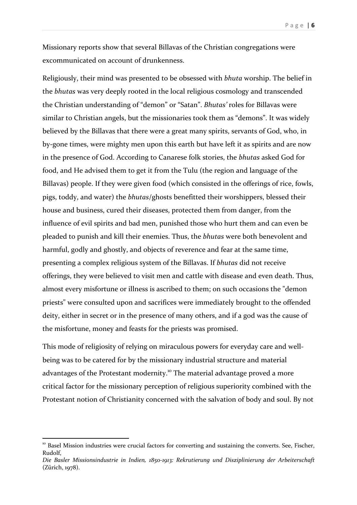Missionary reports show that several Billavas of the Christian congregations were excommunicated on account of drunkenness.

Religiously, their mind was presented to be obsessed with *bhuta* worship. The belief in the *bhutas* was very deeply rooted in the local religious cosmology and transcended the Christian understanding of "demon" or "Satan". *Bhutas'* roles for Billavas were similar to Christian angels, but the missionaries took them as "demons". It was widely believed by the Billavas that there were a great many spirits, servants of God, who, in by-gone times, were mighty men upon this earth but have left it as spirits and are now in the presence of God. According to Canarese folk stories, the *bhutas* asked God for food, and He advised them to get it from the Tulu (the region and language of the Billavas) people. If they were given food (which consisted in the offerings of rice, fowls, pigs, toddy, and water) the *bhutas*/ghosts benefitted their worshippers, blessed their house and business, cured their diseases, protected them from danger, from the influence of evil spirits and bad men, punished those who hurt them and can even be pleaded to punish and kill their enemies. Thus, the *bhutas* were both benevolent and harmful, godly and ghostly, and objects of reverence and fear at the same time, presenting a complex religious system of the Billavas. If *bhutas* did not receive offerings, they were believed to visit men and cattle with disease and even death. Thus, almost every misfortune or illness is ascribed to them; on such occasions the "demon priests" were consulted upon and sacrifices were immediately brought to the offended deity, either in secret or in the presence of many others, and if a god was the cause of the misfortune, money and feasts for the priests was promised.

This mode of religiosity of relying on miraculous powers for everyday care and wellbeing was to be catered for by the missionary industrial structure and material advantages of the Protestant modernity.<sup>10</sup> The material advantage proved a more critical factor for the missionary perception of religious superiority combined with the Protestant notion of Christianity concerned with the salvation of body and soul. By not

<sup>&</sup>lt;sup>10</sup> Basel Mission industries were crucial factors for converting and sustaining the converts. See, Fischer, Rudolf,

*Die Basler Missionsindustrie in Indien, 1850-1913: Rekrutierung und Disziplinierung der Arbeiterschaft* (Zürich, 1978).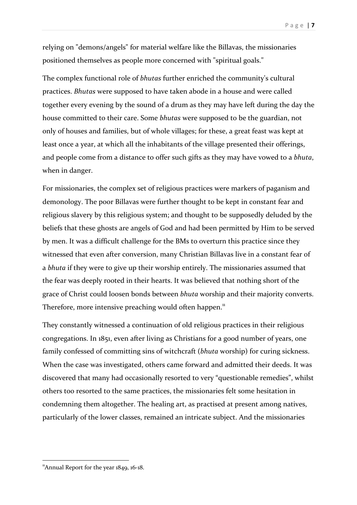relying on "demons/angels" for material welfare like the Billavas, the missionaries positioned themselves as people more concerned with "spiritual goals."

The complex functional role of *bhutas* further enriched the community's cultural practices. *Bhutas* were supposed to have taken abode in a house and were called together every evening by the sound of a drum as they may have left during the day the house committed to their care. Some *bhutas* were supposed to be the guardian, not only of houses and families, but of whole villages; for these, a great feast was kept at least once a year, at which all the inhabitants of the village presented their offerings, and people come from a distance to offer such gifts as they may have vowed to a *bhuta*, when in danger.

For missionaries, the complex set of religious practices were markers of paganism and demonology. The poor Billavas were further thought to be kept in constant fear and religious slavery by this religious system; and thought to be supposedly deluded by the beliefs that these ghosts are angels of God and had been permitted by Him to be served by men. It was a difficult challenge for the BMs to overturn this practice since they witnessed that even after conversion, many Christian Billavas live in a constant fear of a *bhuta* if they were to give up their worship entirely. The missionaries assumed that the fear was deeply rooted in their hearts. It was believed that nothing short of the grace of Christ could loosen bonds between *bhuta* worship and their majority converts. Therefore, more intensive preaching would often happen.<sup>11</sup>

They constantly witnessed a continuation of old religious practices in their religious congregations. In 1851, even after living as Christians for a good number of years, one family confessed of committing sins of witchcraft (*bhuta* worship) for curing sickness. When the case was investigated, others came forward and admitted their deeds. It was discovered that many had occasionally resorted to very "questionable remedies", whilst others too resorted to the same practices, the missionaries felt some hesitation in condemning them altogether. The healing art, as practised at present among natives, particularly of the lower classes, remained an intricate subject. And the missionaries

<sup>&</sup>quot;Annual Report for the year  $1849$ ,  $16-18$ .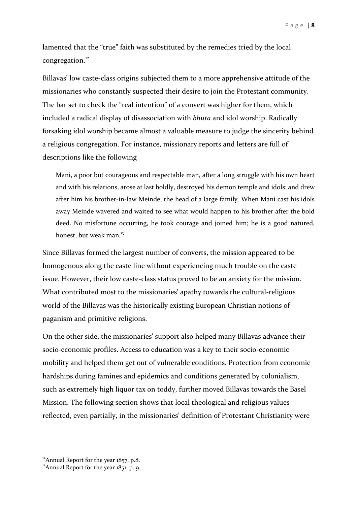Page | **8**

lamented that the "true" faith was substituted by the remedies tried by the local congregation. 12

Billavas' low caste-class origins subjected them to a more apprehensive attitude of the missionaries who constantly suspected their desire to join the Protestant community. The bar set to check the "real intention" of a convert was higher for them, which included a radical display of disassociation with *bhuta* and idol worship. Radically forsaking idol worship became almost a valuable measure to judge the sincerity behind a religious congregation. For instance, missionary reports and letters are full of descriptions like the following

Mani, a poor but courageous and respectable man, after a long struggle with his own heart and with his relations, arose at last boldly, destroyed his demon temple and idols; and drew after him his brother-in-law Meinde, the head of a large family. When Mani cast his idols away Meinde wavered and waited to see what would happen to his brother after the bold deed. No misfortune occurring, he took courage and joined him; he is a good natured, honest, but weak man.<sup>13</sup>

Since Billavas formed the largest number of converts, the mission appeared to be homogenous along the caste line without experiencing much trouble on the caste issue. However, their low caste-class status proved to be an anxiety for the mission. What contributed most to the missionaries' apathy towards the cultural-religious world of the Billavas was the historically existing European Christian notions of paganism and primitive religions.

On the other side, the missionaries' support also helped many Billavas advance their socio-economic profiles. Access to education was a key to their socio-economic mobility and helped them get out of vulnerable conditions. Protection from economic hardships during famines and epidemics and conditions generated by colonialism, such as extremely high liquor tax on toddy, further moved Billavas towards the Basel Mission. The following section shows that local theological and religious values reflected, even partially, in the missionaries' definition of Protestant Christianity were

<sup>&</sup>lt;sup>12</sup>Annual Report for the year 1857, p.8.<br><sup>13</sup>Annual Report for the year 1851, p. 9.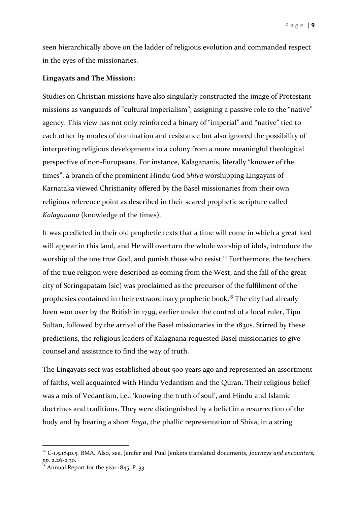seen hierarchically above on the ladder of religious evolution and commanded respect in the eyes of the missionaries.

## **Lingayats and The Mission:**

Studies on Christian missions have also singularly constructed the image of Protestant missions as vanguards of "cultural imperialism", assigning a passive role to the "native" agency. This view has not only reinforced a binary of "imperial" and "native" tied to each other by modes of domination and resistance but also ignored the possibility of interpreting religious developments in a colony from a more meaningful theological perspective of non-Europeans. For instance, Kalagananis, literally "knower of the times", a branch of the prominent Hindu God *Shiva* worshipping Lingayats of Karnataka viewed Christianity offered by the Basel missionaries from their own religious reference point as described in their scared prophetic scripture called *Kalaganana* (knowledge of the times).

It was predicted in their old prophetic texts that a time will come in which a great lord will appear in this land, and He will overturn the whole worship of idols, introduce the worship of the one true God, and punish those who resist.<sup>14</sup> Furthermore, the teachers of the true religion were described as coming from the West; and the fall of the great city of Seringapatam (sic) was proclaimed as the precursor of the fulfilment of the prophesies contained in their extraordinary prophetic book.<sup>15</sup> The city had already been won over by the British in 1799, earlier under the control of a local ruler, Tipu Sultan, followed by the arrival of the Basel missionaries in the 1830s. Stirred by these predictions, the religious leaders of Kalagnana requested Basel missionaries to give counsel and assistance to find the way of truth.

The Lingayats sect was established about 500 years ago and represented an assortment of faiths, well acquainted with Hindu Vedantism and the Quran. Their religious belief was a mix of Vedantism, i.e., 'knowing the truth of soul', and Hindu and Islamic doctrines and traditions. They were distinguished by a belief in a resurrection of the body and by bearing a short *linga*, the phallic representation of Shiva, in a string

<sup>14</sup> C-1.5.1840.5. BMA. Also, see, Jenifer and Pual Jenkins translated documents, *Journeys and encounters, pp.* 2.26-2.30.<br><sup>15</sup> Annual Report for the year 1845, P. 33.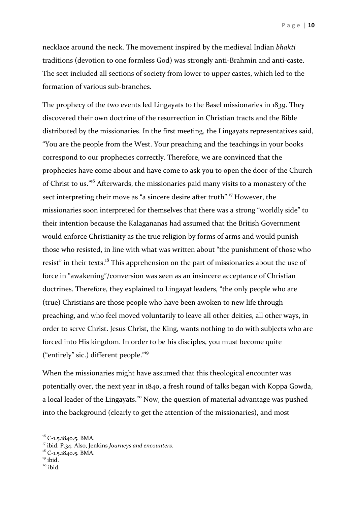necklace around the neck. The movement inspired by the medieval Indian *bhakti* traditions (devotion to one formless God) was strongly anti-Brahmin and anti-caste. The sect included all sections of society from lower to upper castes, which led to the formation of various sub-branches.

The prophecy of the two events led Lingayats to the Basel missionaries in 1839. They discovered their own doctrine of the resurrection in Christian tracts and the Bible distributed by the missionaries. In the first meeting, the Lingayats representatives said, "You are the people from the West. Your preaching and the teachings in your books correspond to our prophecies correctly. Therefore, we are convinced that the prophecies have come about and have come to ask you to open the door of the Church of Christ to us."<sup>16</sup> Afterwards, the missionaries paid many visits to a monastery of the sect interpreting their move as "a sincere desire after truth".<sup>17</sup> However, the missionaries soon interpreted for themselves that there was a strong "worldly side" to their intention because the Kalagananas had assumed that the British Government would enforce Christianity as the true religion by forms of arms and would punish those who resisted, in line with what was written about "the punishment of those who resist" in their texts.<sup>18</sup> This apprehension on the part of missionaries about the use of force in "awakening"/conversion was seen as an insincere acceptance of Christian doctrines. Therefore, they explained to Lingayat leaders, "the only people who are (true) Christians are those people who have been awoken to new life through preaching, and who feel moved voluntarily to leave all other deities, all other ways, in order to serve Christ. Jesus Christ, the King, wants nothing to do with subjects who are forced into His kingdom. In order to be his disciples, you must become quite ("entirely" sic.) different people."19

When the missionaries might have assumed that this theological encounter was potentially over, the next year in 1840, a fresh round of talks began with Koppa Gowda, a local leader of the Lingayats.<sup>20</sup> Now, the question of material advantage was pushed into the background (clearly to get the attention of the missionaries), and most

<sup>&</sup>lt;sup>16</sup> C-1.5.1840.5. BMA.<br><sup>17</sup> ibid. P.34. Also, Jenkins *Journeys and encounters*.<br><sup>18</sup> C-1.5.1840.5. BMA.<br><sup>19</sup> ibid. <sup>20</sup> ibid.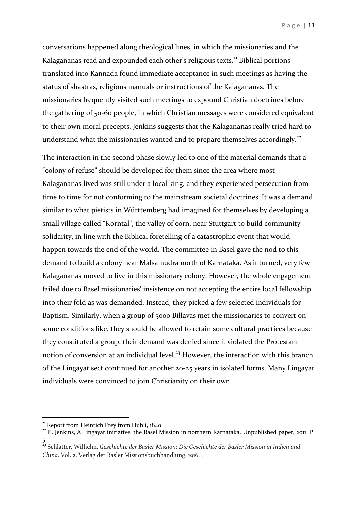conversations happened along theological lines, in which the missionaries and the Kalagananas read and expounded each other's religious texts.<sup>21</sup> Biblical portions translated into Kannada found immediate acceptance in such meetings as having the status of shastras, religious manuals or instructions of the Kalagananas. The missionaries frequently visited such meetings to expound Christian doctrines before the gathering of 50-60 people, in which Christian messages were considered equivalent to their own moral precepts. Jenkins suggests that the Kalagananas really tried hard to understand what the missionaries wanted and to prepare themselves accordingly.<sup>22</sup>

The interaction in the second phase slowly led to one of the material demands that a "colony of refuse" should be developed for them since the area where most Kalagananas lived was still under a local king, and they experienced persecution from time to time for not conforming to the mainstream societal doctrines. It was a demand similar to what pietists in Württemberg had imagined for themselves by developing a small village called "Korntal", the valley of corn, near Stuttgart to build community solidarity, in line with the Biblical foretelling of a catastrophic event that would happen towards the end of the world. The committee in Basel gave the nod to this demand to build a colony near Malsamudra north of Karnataka. As it turned, very few Kalagananas moved to live in this missionary colony. However, the whole engagement failed due to Basel missionaries' insistence on not accepting the entire local fellowship into their fold as was demanded. Instead, they picked a few selected individuals for Baptism. Similarly, when a group of 5000 Billavas met the missionaries to convert on some conditions like, they should be allowed to retain some cultural practices because they constituted a group, their demand was denied since it violated the Protestant notion of conversion at an individual level.<sup>23</sup> However, the interaction with this branch of the Lingayat sect continued for another 20-25 years in isolated forms. Many Lingayat individuals were convinced to join Christianity on their own.

<sup>&</sup>lt;sup>21</sup> Report from Heinrich Frey from Hubli, 1840.<br><sup>22</sup> P. Jenkins, A Lingayat initiative, the Basel Mission in northern Karnataka. Unpublished paper, 2011. P. 5.

<sup>23</sup> Schlatter, Wilhelm. *Geschichte der Basler Mission: Die Geschichte der Basler Mission in Indien und China*. Vol. 2. Verlag der Basler Missionsbuchhandlung, 1916, .